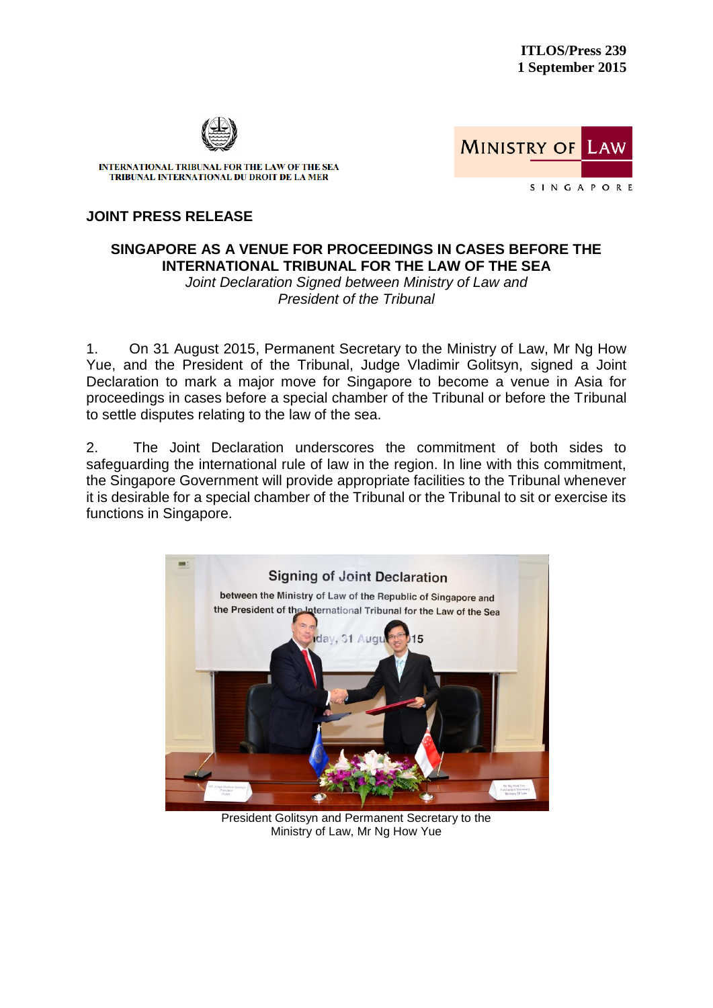

INTERNATIONAL TRIBUNAL FOR THE LAW OF THE SEA TRIBUNAL INTERNATIONAL DU DROIT DE LA MER

**MINISTRY OF** LAW SINGAPORE

## **JOINT PRESS RELEASE**

## **SINGAPORE AS A VENUE FOR PROCEEDINGS IN CASES BEFORE THE INTERNATIONAL TRIBUNAL FOR THE LAW OF THE SEA**  *Joint Declaration Signed between Ministry of Law and*

*President of the Tribunal*

1. On 31 August 2015, Permanent Secretary to the Ministry of Law, Mr Ng How Yue, and the President of the Tribunal, Judge Vladimir Golitsyn, signed a Joint Declaration to mark a major move for Singapore to become a venue in Asia for proceedings in cases before a special chamber of the Tribunal or before the Tribunal to settle disputes relating to the law of the sea.

2. The Joint Declaration underscores the commitment of both sides to safeguarding the international rule of law in the region. In line with this commitment, the Singapore Government will provide appropriate facilities to the Tribunal whenever it is desirable for a special chamber of the Tribunal or the Tribunal to sit or exercise its functions in Singapore.



President Golitsyn and Permanent Secretary to the Ministry of Law, Mr Ng How Yue